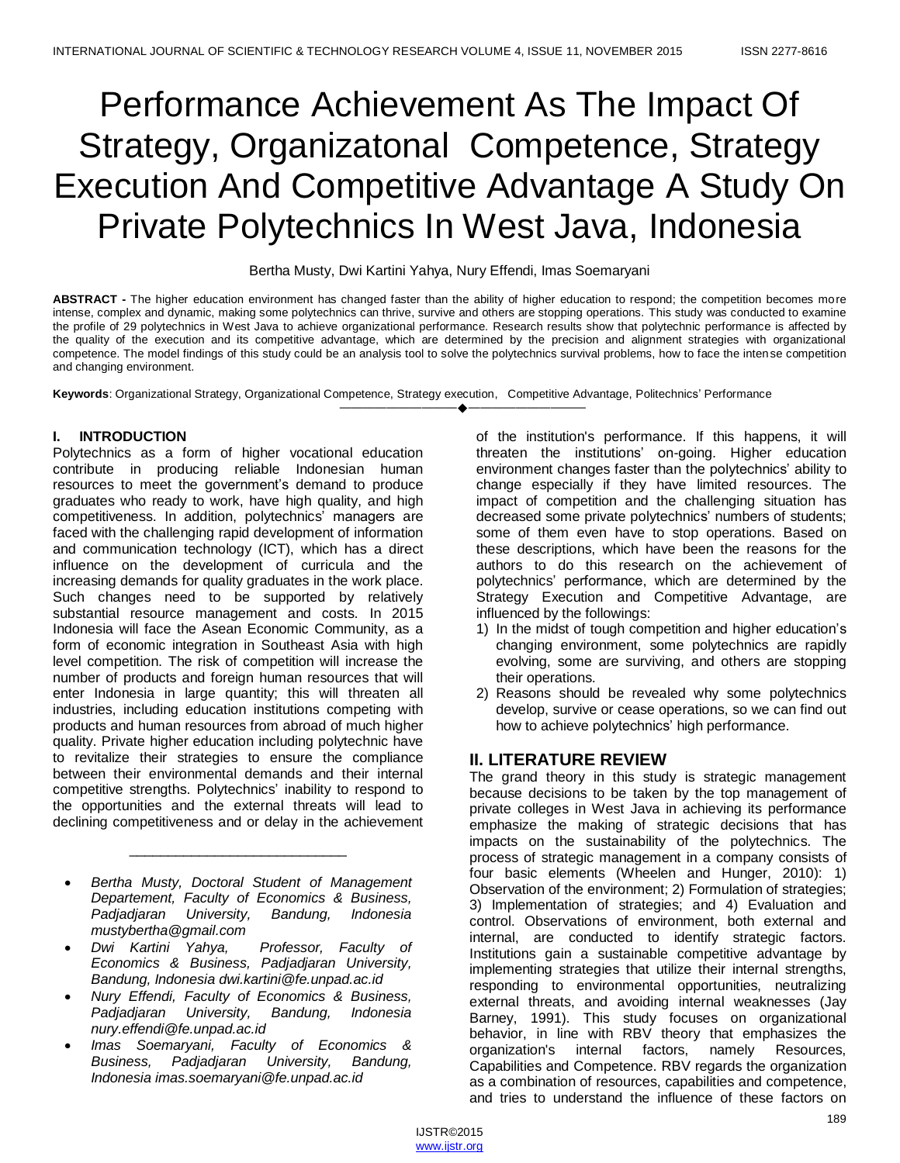# Performance Achievement As The Impact Of Strategy, Organizatonal Competence, Strategy Execution And Competitive Advantage A Study On Private Polytechnics In West Java, Indonesia

#### Bertha Musty, Dwi Kartini Yahya, Nury Effendi, Imas Soemaryani

**ABSTRACT -** The higher education environment has changed faster than the ability of higher education to respond; the competition becomes more intense, complex and dynamic, making some polytechnics can thrive, survive and others are stopping operations. This study was conducted to examine the profile of 29 polytechnics in West Java to achieve organizational performance. Research results show that polytechnic performance is affected by the quality of the execution and its competitive advantage, which are determined by the precision and alignment strategies with organizational competence. The model findings of this study could be an analysis tool to solve the polytechnics survival problems, how to face the intense competition and changing environment.

————————————————————

**Keywords**: Organizational Strategy, Organizational Competence, Strategy execution, Competitive Advantage, Politechnics' Performance

# **I. INTRODUCTION**

Polytechnics as a form of higher vocational education contribute in producing reliable Indonesian human resources to meet the government's demand to produce graduates who ready to work, have high quality, and high competitiveness. In addition, polytechnics' managers are faced with the challenging rapid development of information and communication technology (ICT), which has a direct influence on the development of curricula and the increasing demands for quality graduates in the work place. Such changes need to be supported by relatively substantial resource management and costs. In 2015 Indonesia will face the Asean Economic Community, as a form of economic integration in Southeast Asia with high level competition. The risk of competition will increase the number of products and foreign human resources that will enter Indonesia in large quantity; this will threaten all industries, including education institutions competing with products and human resources from abroad of much higher quality. Private higher education including polytechnic have to revitalize their strategies to ensure the compliance between their environmental demands and their internal competitive strengths. Polytechnics' inability to respond to the opportunities and the external threats will lead to declining competitiveness and or delay in the achievement

 *Bertha Musty, Doctoral Student of Management Departement, Faculty of Economics & Business, Padjadjaran University, Bandung, Indonesia mustybertha@gmail.com* 

\_\_\_\_\_\_\_\_\_\_\_\_\_\_\_\_\_\_\_\_\_\_\_\_\_\_\_\_

- *Dwi Kartini Yahya, Professor, Faculty of Economics & Business, Padjadjaran University, Bandung, Indonesia dwi.kartini@fe.unpad.ac.id*
- *Nury Effendi, Faculty of Economics & Business, Padjadjaran University, Bandung, Indonesia nury.effendi@fe.unpad.ac.id*
- *Imas Soemaryani, Faculty of Economics & Business, Padjadjaran University, Bandung, Indonesia imas.soemaryani@fe.unpad.ac.id*

of the institution's performance. If this happens, it will threaten the institutions' on-going. Higher education environment changes faster than the polytechnics' ability to change especially if they have limited resources. The impact of competition and the challenging situation has decreased some private polytechnics' numbers of students; some of them even have to stop operations. Based on these descriptions, which have been the reasons for the authors to do this research on the achievement of polytechnics' performance, which are determined by the Strategy Execution and Competitive Advantage, are influenced by the followings:

- 1) In the midst of tough competition and higher education's changing environment, some polytechnics are rapidly evolving, some are surviving, and others are stopping their operations.
- 2) Reasons should be revealed why some polytechnics develop, survive or cease operations, so we can find out how to achieve polytechnics' high performance.

# **II. LITERATURE REVIEW**

The grand theory in this study is strategic management because decisions to be taken by the top management of private colleges in West Java in achieving its performance emphasize the making of strategic decisions that has impacts on the sustainability of the polytechnics. The process of strategic management in a company consists of four basic elements (Wheelen and Hunger, 2010): 1) Observation of the environment; 2) Formulation of strategies; 3) Implementation of strategies; and 4) Evaluation and control. Observations of environment, both external and internal, are conducted to identify strategic factors. Institutions gain a sustainable competitive advantage by implementing strategies that utilize their internal strengths, responding to environmental opportunities, neutralizing external threats, and avoiding internal weaknesses (Jay Barney, 1991). This study focuses on organizational behavior, in line with RBV theory that emphasizes the organization's internal factors, namely Resources, Capabilities and Competence. RBV regards the organization as a combination of resources, capabilities and competence, and tries to understand the influence of these factors on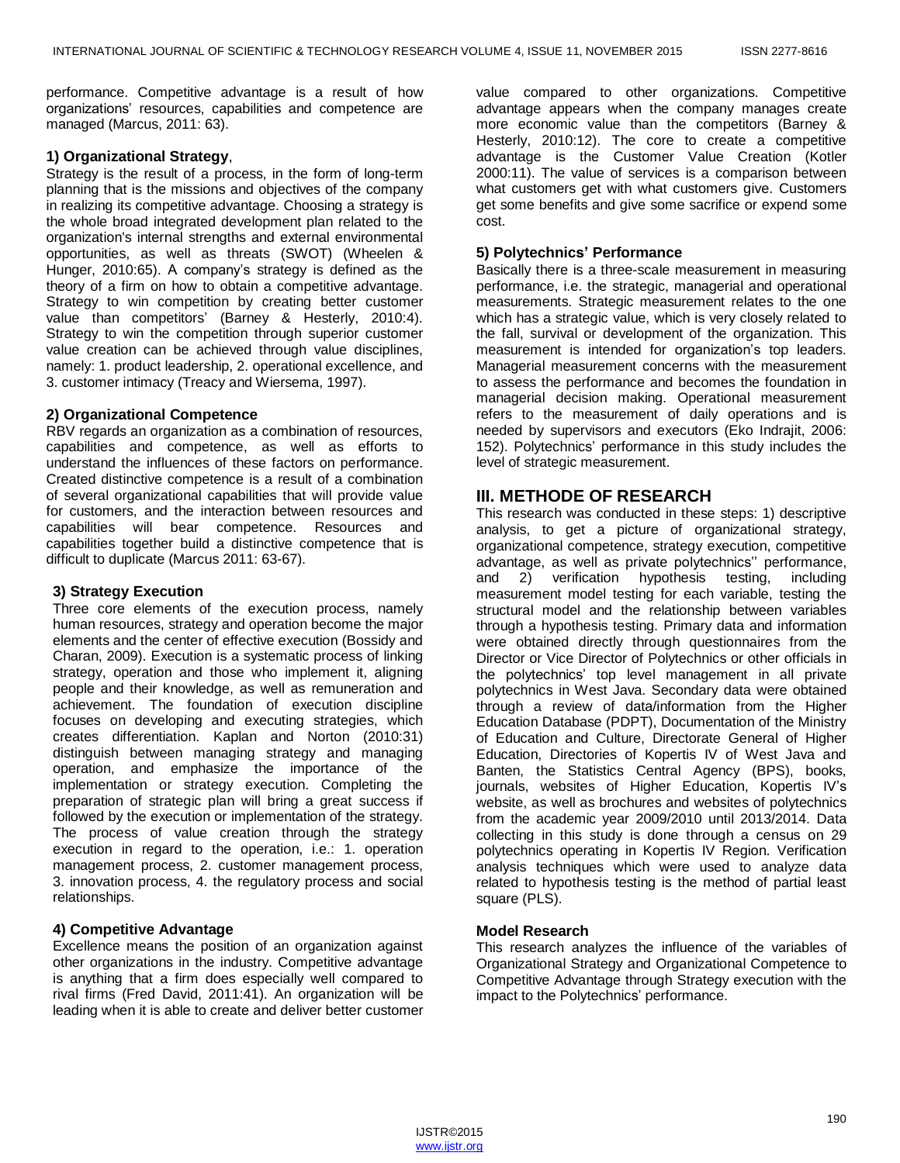performance. Competitive advantage is a result of how organizations' resources, capabilities and competence are managed (Marcus, 2011: 63).

#### **1) Organizational Strategy**,

Strategy is the result of a process, in the form of long-term planning that is the missions and objectives of the company in realizing its competitive advantage. Choosing a strategy is the whole broad integrated development plan related to the organization's internal strengths and external environmental opportunities, as well as threats (SWOT) (Wheelen & Hunger, 2010:65). A company's strategy is defined as the theory of a firm on how to obtain a competitive advantage. Strategy to win competition by creating better customer value than competitors' (Barney & Hesterly, 2010:4). Strategy to win the competition through superior customer value creation can be achieved through value disciplines, namely: 1. product leadership, 2. operational excellence, and 3. customer intimacy (Treacy and Wiersema, 1997).

#### **2) Organizational Competence**

RBV regards an organization as a combination of resources, capabilities and competence, as well as efforts to understand the influences of these factors on performance. Created distinctive competence is a result of a combination of several organizational capabilities that will provide value for customers, and the interaction between resources and capabilities will bear competence. Resources and capabilities together build a distinctive competence that is difficult to duplicate (Marcus 2011: 63-67).

# **3) Strategy Execution**

Three core elements of the execution process, namely human resources, strategy and operation become the major elements and the center of effective execution (Bossidy and Charan, 2009). Execution is a systematic process of linking strategy, operation and those who implement it, aligning people and their knowledge, as well as remuneration and achievement. The foundation of execution discipline focuses on developing and executing strategies, which creates differentiation. Kaplan and Norton (2010:31) distinguish between managing strategy and managing operation, and emphasize the importance of the implementation or strategy execution. Completing the preparation of strategic plan will bring a great success if followed by the execution or implementation of the strategy. The process of value creation through the strategy execution in regard to the operation, i.e.: 1. operation management process, 2. customer management process, 3. innovation process, 4. the regulatory process and social relationships.

# **4) Competitive Advantage**

Excellence means the position of an organization against other organizations in the industry. Competitive advantage is anything that a firm does especially well compared to rival firms (Fred David, 2011:41). An organization will be leading when it is able to create and deliver better customer

value compared to other organizations. Competitive advantage appears when the company manages create more economic value than the competitors (Barney & Hesterly, 2010:12). The core to create a competitive advantage is the Customer Value Creation (Kotler 2000:11). The value of services is a comparison between what customers get with what customers give. Customers get some benefits and give some sacrifice or expend some cost.

#### **5) Polytechnics' Performance**

Basically there is a three-scale measurement in measuring performance, i.e. the strategic, managerial and operational measurements. Strategic measurement relates to the one which has a strategic value, which is very closely related to the fall, survival or development of the organization. This measurement is intended for organization's top leaders. Managerial measurement concerns with the measurement to assess the performance and becomes the foundation in managerial decision making. Operational measurement refers to the measurement of daily operations and is needed by supervisors and executors (Eko Indrajit, 2006: 152). Polytechnics' performance in this study includes the level of strategic measurement.

# **III. METHODE OF RESEARCH**

This research was conducted in these steps: 1) descriptive analysis, to get a picture of organizational strategy, organizational competence, strategy execution, competitive advantage, as well as private polytechnics'' performance, and 2) verification hypothesis testing, including measurement model testing for each variable, testing the structural model and the relationship between variables through a hypothesis testing. Primary data and information were obtained directly through questionnaires from the Director or Vice Director of Polytechnics or other officials in the polytechnics' top level management in all private polytechnics in West Java. Secondary data were obtained through a review of data/information from the Higher Education Database (PDPT), Documentation of the Ministry of Education and Culture, Directorate General of Higher Education, Directories of Kopertis IV of West Java and Banten, the Statistics Central Agency (BPS), books, journals, websites of Higher Education, Kopertis IV's website, as well as brochures and websites of polytechnics from the academic year 2009/2010 until 2013/2014. Data collecting in this study is done through a census on 29 polytechnics operating in Kopertis IV Region. Verification analysis techniques which were used to analyze data related to hypothesis testing is the method of partial least square (PLS).

#### **Model Research**

This research analyzes the influence of the variables of Organizational Strategy and Organizational Competence to Competitive Advantage through Strategy execution with the impact to the Polytechnics' performance.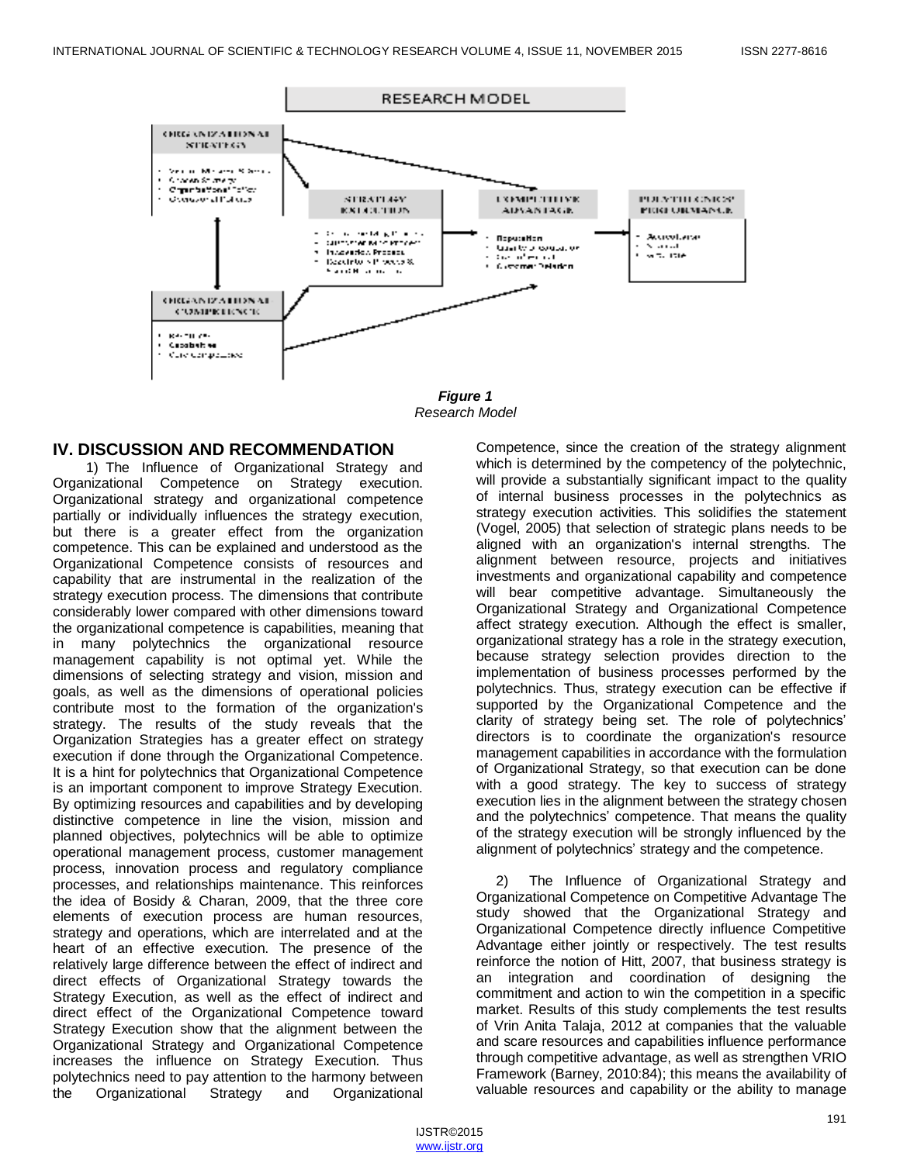

*Figure 1 Research Model*

# **IV. DISCUSSION AND RECOMMENDATION**

1) The Influence of Organizational Strategy and Organizational Competence on Strategy execution. Organizational strategy and organizational competence partially or individually influences the strategy execution, but there is a greater effect from the organization competence. This can be explained and understood as the Organizational Competence consists of resources and capability that are instrumental in the realization of the strategy execution process. The dimensions that contribute considerably lower compared with other dimensions toward the organizational competence is capabilities, meaning that in many polytechnics the organizational resource management capability is not optimal yet. While the dimensions of selecting strategy and vision, mission and goals, as well as the dimensions of operational policies contribute most to the formation of the organization's strategy. The results of the study reveals that the Organization Strategies has a greater effect on strategy execution if done through the Organizational Competence. It is a hint for polytechnics that Organizational Competence is an important component to improve Strategy Execution. By optimizing resources and capabilities and by developing distinctive competence in line the vision, mission and planned objectives, polytechnics will be able to optimize operational management process, customer management process, innovation process and regulatory compliance processes, and relationships maintenance. This reinforces the idea of Bosidy & Charan, 2009, that the three core elements of execution process are human resources, strategy and operations, which are interrelated and at the heart of an effective execution. The presence of the relatively large difference between the effect of indirect and direct effects of Organizational Strategy towards the Strategy Execution, as well as the effect of indirect and direct effect of the Organizational Competence toward Strategy Execution show that the alignment between the Organizational Strategy and Organizational Competence increases the influence on Strategy Execution. Thus polytechnics need to pay attention to the harmony between the Organizational Strategy and Organizational

Competence, since the creation of the strategy alignment which is determined by the competency of the polytechnic, will provide a substantially significant impact to the quality of internal business processes in the polytechnics as strategy execution activities. This solidifies the statement (Vogel, 2005) that selection of strategic plans needs to be aligned with an organization's internal strengths. The alignment between resource, projects and initiatives investments and organizational capability and competence will bear competitive advantage. Simultaneously the Organizational Strategy and Organizational Competence affect strategy execution. Although the effect is smaller, organizational strategy has a role in the strategy execution, because strategy selection provides direction to the implementation of business processes performed by the polytechnics. Thus, strategy execution can be effective if supported by the Organizational Competence and the clarity of strategy being set. The role of polytechnics' directors is to coordinate the organization's resource management capabilities in accordance with the formulation of Organizational Strategy, so that execution can be done with a good strategy. The key to success of strategy execution lies in the alignment between the strategy chosen and the polytechnics' competence. That means the quality of the strategy execution will be strongly influenced by the alignment of polytechnics' strategy and the competence.

2) The Influence of Organizational Strategy and Organizational Competence on Competitive Advantage The study showed that the Organizational Strategy and Organizational Competence directly influence Competitive Advantage either jointly or respectively. The test results reinforce the notion of Hitt, 2007, that business strategy is an integration and coordination of designing the commitment and action to win the competition in a specific market. Results of this study complements the test results of Vrin Anita Talaja, 2012 at companies that the valuable and scare resources and capabilities influence performance through competitive advantage, as well as strengthen VRIO Framework (Barney, 2010:84); this means the availability of valuable resources and capability or the ability to manage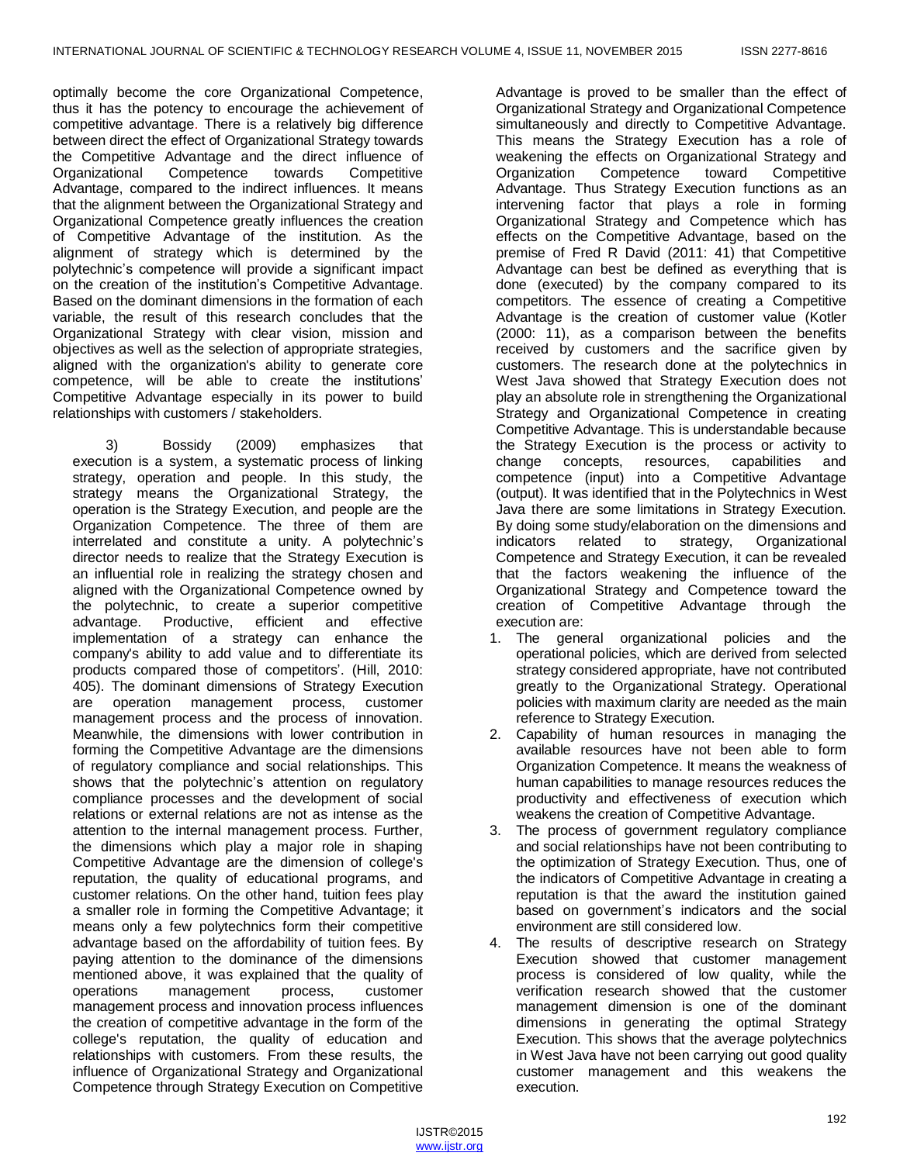optimally become the core Organizational Competence, thus it has the potency to encourage the achievement of competitive advantage. There is a relatively big difference between direct the effect of Organizational Strategy towards the Competitive Advantage and the direct influence of Organizational Competence towards Competitive Advantage, compared to the indirect influences. It means that the alignment between the Organizational Strategy and Organizational Competence greatly influences the creation of Competitive Advantage of the institution. As the alignment of strategy which is determined by the polytechnic's competence will provide a significant impact on the creation of the institution's Competitive Advantage. Based on the dominant dimensions in the formation of each variable, the result of this research concludes that the Organizational Strategy with clear vision, mission and objectives as well as the selection of appropriate strategies, aligned with the organization's ability to generate core competence, will be able to create the institutions' Competitive Advantage especially in its power to build relationships with customers / stakeholders.

3) Bossidy (2009) emphasizes that execution is a system, a systematic process of linking strategy, operation and people. In this study, the strategy means the Organizational Strategy, the operation is the Strategy Execution, and people are the Organization Competence. The three of them are interrelated and constitute a unity. A polytechnic's director needs to realize that the Strategy Execution is an influential role in realizing the strategy chosen and aligned with the Organizational Competence owned by the polytechnic, to create a superior competitive advantage. Productive, efficient and effective advantage. Productive, efficient and implementation of a strategy can enhance the company's ability to add value and to differentiate its products compared those of competitors'. (Hill, 2010: 405). The dominant dimensions of Strategy Execution are operation management process, customer management process and the process of innovation. Meanwhile, the dimensions with lower contribution in forming the Competitive Advantage are the dimensions of regulatory compliance and social relationships. This shows that the polytechnic's attention on regulatory compliance processes and the development of social relations or external relations are not as intense as the attention to the internal management process. Further, the dimensions which play a major role in shaping Competitive Advantage are the dimension of college's reputation, the quality of educational programs, and customer relations. On the other hand, tuition fees play a smaller role in forming the Competitive Advantage; it means only a few polytechnics form their competitive advantage based on the affordability of tuition fees. By paying attention to the dominance of the dimensions mentioned above, it was explained that the quality of operations management process, customer management process and innovation process influences the creation of competitive advantage in the form of the college's reputation, the quality of education and relationships with customers. From these results, the influence of Organizational Strategy and Organizational Competence through Strategy Execution on Competitive

Advantage is proved to be smaller than the effect of Organizational Strategy and Organizational Competence simultaneously and directly to Competitive Advantage. This means the Strategy Execution has a role of weakening the effects on Organizational Strategy and Organization Competence toward Competitive Advantage. Thus Strategy Execution functions as an intervening factor that plays a role in forming Organizational Strategy and Competence which has effects on the Competitive Advantage, based on the premise of Fred R David (2011: 41) that Competitive Advantage can best be defined as everything that is done (executed) by the company compared to its competitors. The essence of creating a Competitive Advantage is the creation of customer value (Kotler (2000: 11), as a comparison between the benefits received by customers and the sacrifice given by customers. The research done at the polytechnics in West Java showed that Strategy Execution does not play an absolute role in strengthening the Organizational Strategy and Organizational Competence in creating Competitive Advantage. This is understandable because the Strategy Execution is the process or activity to change concepts, resources, capabilities and competence (input) into a Competitive Advantage (output). It was identified that in the Polytechnics in West Java there are some limitations in Strategy Execution. By doing some study/elaboration on the dimensions and indicators related to strategy, Organizational Competence and Strategy Execution, it can be revealed that the factors weakening the influence of the Organizational Strategy and Competence toward the creation of Competitive Advantage through the execution are:

- 1. The general organizational policies and the operational policies, which are derived from selected strategy considered appropriate, have not contributed greatly to the Organizational Strategy. Operational policies with maximum clarity are needed as the main reference to Strategy Execution.
- 2. Capability of human resources in managing the available resources have not been able to form Organization Competence. It means the weakness of human capabilities to manage resources reduces the productivity and effectiveness of execution which weakens the creation of Competitive Advantage.
- 3. The process of government regulatory compliance and social relationships have not been contributing to the optimization of Strategy Execution. Thus, one of the indicators of Competitive Advantage in creating a reputation is that the award the institution gained based on government's indicators and the social environment are still considered low.
- 4. The results of descriptive research on Strategy Execution showed that customer management process is considered of low quality, while the verification research showed that the customer management dimension is one of the dominant dimensions in generating the optimal Strategy Execution. This shows that the average polytechnics in West Java have not been carrying out good quality customer management and this weakens the execution.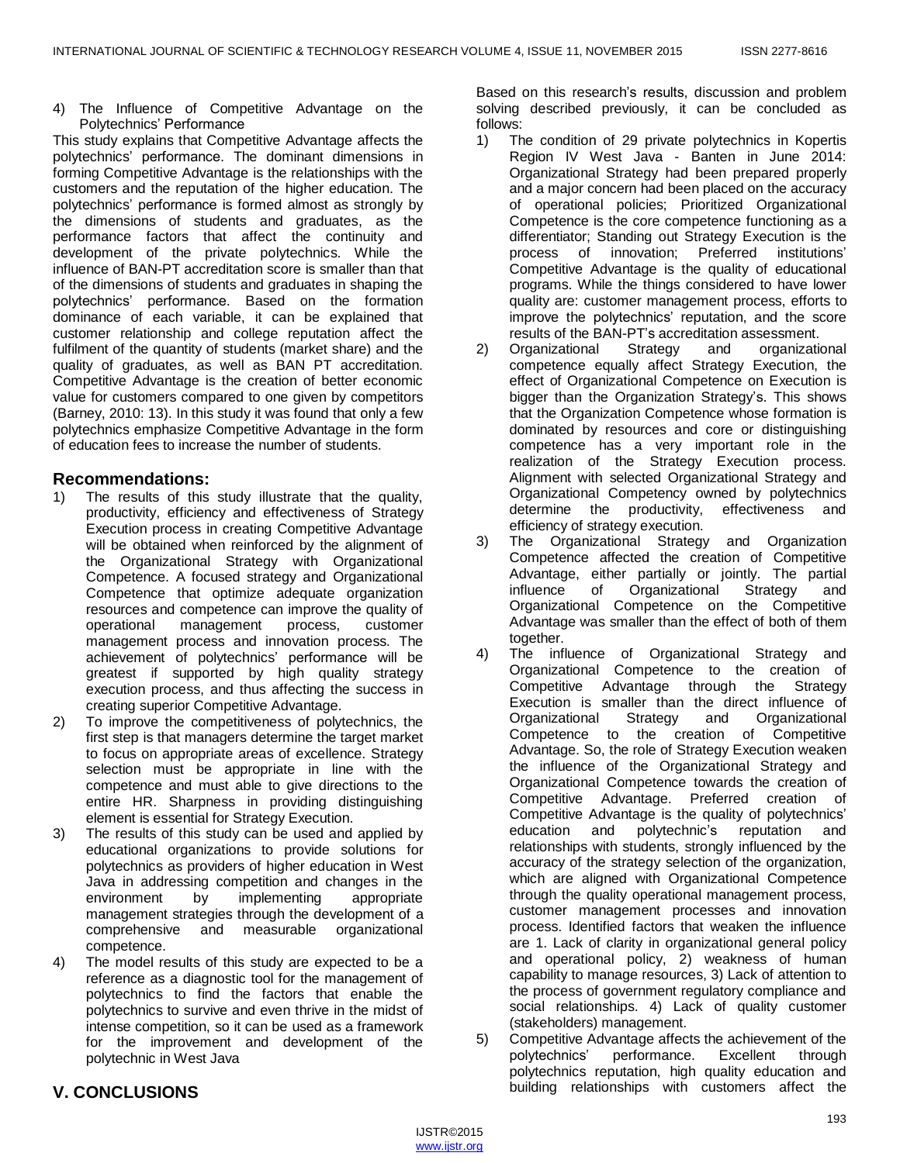4) The Influence of Competitive Advantage on the Polytechnics' Performance

This study explains that Competitive Advantage affects the polytechnics' performance. The dominant dimensions in forming Competitive Advantage is the relationships with the customers and the reputation of the higher education. The polytechnics' performance is formed almost as strongly by the dimensions of students and graduates, as the performance factors that affect the continuity and development of the private polytechnics. While the influence of BAN-PT accreditation score is smaller than that of the dimensions of students and graduates in shaping the polytechnics' performance. Based on the formation dominance of each variable, it can be explained that customer relationship and college reputation affect the fulfilment of the quantity of students (market share) and the quality of graduates, as well as BAN PT accreditation. Competitive Advantage is the creation of better economic value for customers compared to one given by competitors (Barney, 2010: 13). In this study it was found that only a few polytechnics emphasize Competitive Advantage in the form of education fees to increase the number of students.

# **Recommendations:**

- 1) The results of this study illustrate that the quality, productivity, efficiency and effectiveness of Strategy Execution process in creating Competitive Advantage will be obtained when reinforced by the alignment of the Organizational Strategy with Organizational Competence. A focused strategy and Organizational Competence that optimize adequate organization resources and competence can improve the quality of operational management process, customer management process and innovation process. The achievement of polytechnics' performance will be greatest if supported by high quality strategy execution process, and thus affecting the success in creating superior Competitive Advantage.
- 2) To improve the competitiveness of polytechnics, the first step is that managers determine the target market to focus on appropriate areas of excellence. Strategy selection must be appropriate in line with the competence and must able to give directions to the entire HR. Sharpness in providing distinguishing element is essential for Strategy Execution.
- 3) The results of this study can be used and applied by educational organizations to provide solutions for polytechnics as providers of higher education in West Java in addressing competition and changes in the environment by implementing appropriate management strategies through the development of a comprehensive and measurable organizational competence.
- 4) The model results of this study are expected to be a reference as a diagnostic tool for the management of polytechnics to find the factors that enable the polytechnics to survive and even thrive in the midst of intense competition, so it can be used as a framework for the improvement and development of the polytechnic in West Java

Based on this research's results, discussion and problem solving described previously, it can be concluded as follows:

- 1) The condition of 29 private polytechnics in Kopertis Region IV West Java - Banten in June 2014: Organizational Strategy had been prepared properly and a major concern had been placed on the accuracy of operational policies; Prioritized Organizational Competence is the core competence functioning as a differentiator; Standing out Strategy Execution is the process of innovation; Preferred institutions' Competitive Advantage is the quality of educational programs. While the things considered to have lower quality are: customer management process, efforts to improve the polytechnics' reputation, and the score results of the BAN-PT's accreditation assessment.
- 2) Organizational Strategy and organizational competence equally affect Strategy Execution, the effect of Organizational Competence on Execution is bigger than the Organization Strategy's. This shows that the Organization Competence whose formation is dominated by resources and core or distinguishing competence has a very important role in the realization of the Strategy Execution process. Alignment with selected Organizational Strategy and Organizational Competency owned by polytechnics determine the productivity, effectiveness and efficiency of strategy execution.
- 3) The Organizational Strategy and Organization Competence affected the creation of Competitive Advantage, either partially or jointly. The partial influence of Organizational Strategy and Organizational Competence on the Competitive Advantage was smaller than the effect of both of them together.
- 4) The influence of Organizational Strategy and Organizational Competence to the creation of Competitive Advantage through the Strategy Execution is smaller than the direct influence of Organizational Strategy and Organizational Competence to the creation of Competitive Advantage. So, the role of Strategy Execution weaken the influence of the Organizational Strategy and Organizational Competence towards the creation of Competitive Advantage. Preferred creation of Competitive Advantage is the quality of polytechnics' education and polytechnic's reputation and relationships with students, strongly influenced by the accuracy of the strategy selection of the organization, which are aligned with Organizational Competence through the quality operational management process, customer management processes and innovation process. Identified factors that weaken the influence are 1. Lack of clarity in organizational general policy and operational policy, 2) weakness of human capability to manage resources, 3) Lack of attention to the process of government regulatory compliance and social relationships. 4) Lack of quality customer (stakeholders) management.
- 5) Competitive Advantage affects the achievement of the polytechnics' performance. Excellent through polytechnics reputation, high quality education and building relationships with customers affect the

# **V. CONCLUSIONS**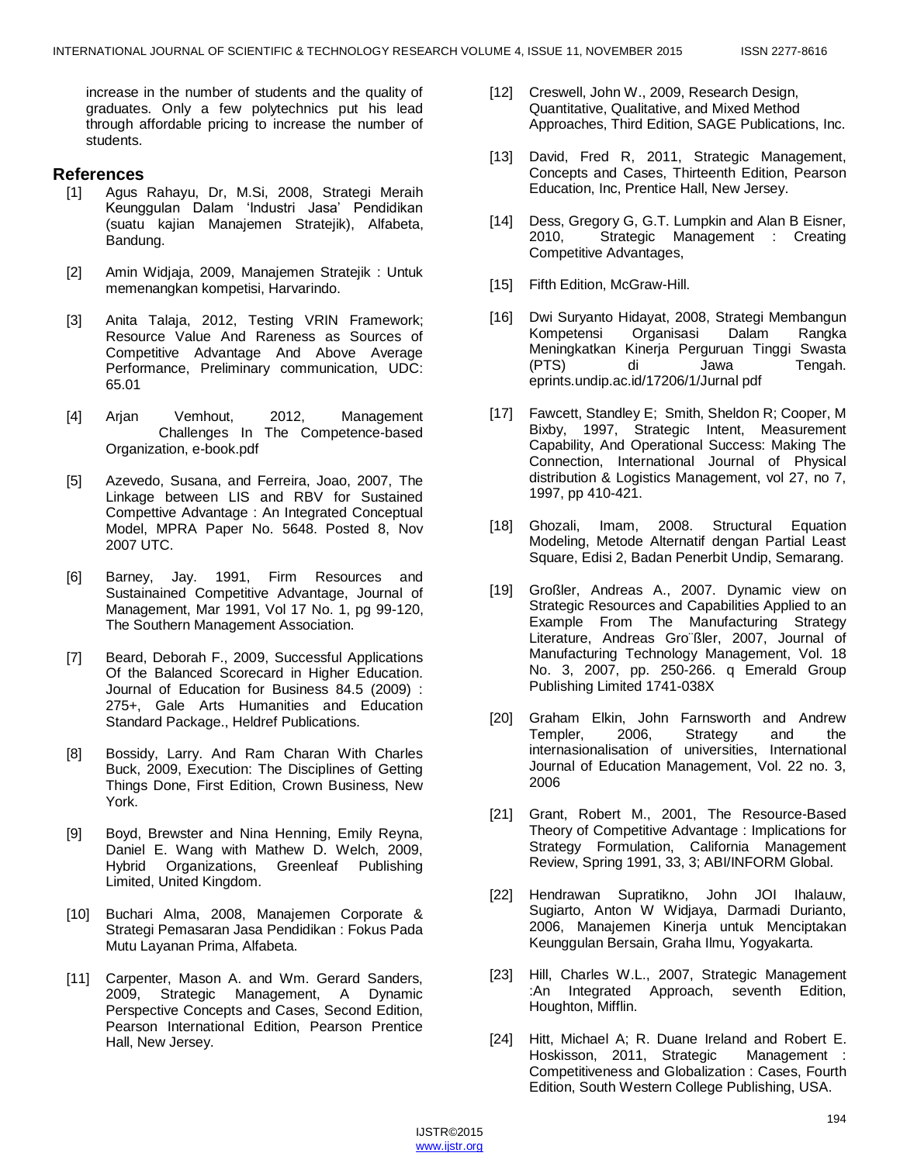increase in the number of students and the quality of graduates. Only a few polytechnics put his lead through affordable pricing to increase the number of students.

# **References**

- [1] Agus Rahayu, Dr, M.Si, 2008, Strategi Meraih Keunggulan Dalam 'Industri Jasa' Pendidikan (suatu kajian Manajemen Stratejik), Alfabeta, Bandung.
- [2] Amin Widjaja, 2009, Manajemen Stratejik : Untuk memenangkan kompetisi, Harvarindo.
- [3] Anita Talaja, 2012, Testing VRIN Framework; Resource Value And Rareness as Sources of Competitive Advantage And Above Average Performance, Preliminary communication, UDC: 65.01
- [4] Arjan Vemhout, 2012, Management Challenges In The Competence-based Organization, e-book.pdf
- [5] Azevedo, Susana, and Ferreira, Joao, 2007, The Linkage between LIS and RBV for Sustained Compettive Advantage : An Integrated Conceptual Model, MPRA Paper No. 5648. Posted 8, Nov 2007 UTC.
- [6] Barney, Jay. 1991, Firm Resources and Sustainained Competitive Advantage, Journal of Management, Mar 1991, Vol 17 No. 1, pg 99-120, The Southern Management Association.
- [7] Beard, Deborah F., 2009, Successful Applications Of the Balanced Scorecard in Higher Education. Journal of Education for Business 84.5 (2009) : 275+, Gale Arts Humanities and Education Standard Package., Heldref Publications.
- [8] Bossidy, Larry. And Ram Charan With Charles Buck, 2009, Execution: The Disciplines of Getting Things Done, First Edition, Crown Business, New York.
- [9] Boyd, Brewster and Nina Henning, Emily Reyna, Daniel E. Wang with Mathew D. Welch, 2009, Hybrid Organizations, Greenleaf Publishing Limited, United Kingdom.
- [10] Buchari Alma, 2008, Manajemen Corporate & Strategi Pemasaran Jasa Pendidikan : Fokus Pada Mutu Layanan Prima, Alfabeta.
- [11] Carpenter, Mason A. and Wm. Gerard Sanders, 2009, Strategic Management, A Dynamic Perspective Concepts and Cases, Second Edition, Pearson International Edition, Pearson Prentice Hall, New Jersey.
- [12] Creswell, John W., 2009, Research Design, Quantitative, Qualitative, and Mixed Method Approaches, Third Edition, SAGE Publications, Inc.
- [13] David, Fred R, 2011, Strategic Management, Concepts and Cases, Thirteenth Edition, Pearson Education, Inc, Prentice Hall, New Jersey.
- [14] Dess, Gregory G, G.T. Lumpkin and Alan B Eisner, 2010, Strategic Management : Creating Competitive Advantages,
- [15] Fifth Edition, McGraw-Hill.
- [16] Dwi Suryanto Hidayat, 2008, Strategi Membangun Kompetensi Organisasi Dalam Rangka Meningkatkan Kinerja Perguruan Tinggi Swasta (PTS) di Jawa Tengah. eprints.undip.ac.id/17206/1/Jurnal pdf
- [17] Fawcett, Standley E; Smith, Sheldon R; Cooper, M Bixby, 1997, Strategic Intent, Measurement Capability, And Operational Success: Making The Connection, International Journal of Physical distribution & Logistics Management, vol 27, no 7, 1997, pp 410-421.
- [18] Ghozali, Imam, 2008. Structural Equation Modeling, Metode Alternatif dengan Partial Least Square, Edisi 2, Badan Penerbit Undip, Semarang.
- [19] Großler, Andreas A., 2007. Dynamic view on Strategic Resources and Capabilities Applied to an Example From The Manufacturing Strategy Literature, Andreas Gro¨ßler, 2007, Journal of Manufacturing Technology Management, Vol. 18 No. 3, 2007, pp. 250-266. q Emerald Group Publishing Limited 1741-038X
- [20] Graham Elkin, John Farnsworth and Andrew Templer, 2006, Strategy and the internasionalisation of universities, International Journal of Education Management, Vol. 22 no. 3, 2006
- [21] Grant, Robert M., 2001, The Resource-Based Theory of Competitive Advantage : Implications for Strategy Formulation, California Management Review, Spring 1991, 33, 3; ABI/INFORM Global.
- [22] Hendrawan Supratikno, John JOI Ihalauw, Sugiarto, Anton W Widjaya, Darmadi Durianto, 2006, Manajemen Kinerja untuk Menciptakan Keunggulan Bersain, Graha Ilmu, Yogyakarta.
- [23] Hill, Charles W.L., 2007, Strategic Management :An Integrated Approach, seventh Edition, Houghton, Mifflin.
- [24] Hitt, Michael A; R. Duane Ireland and Robert E. Hoskisson, 2011, Strategic Management : Competitiveness and Globalization : Cases, Fourth Edition, South Western College Publishing, USA.